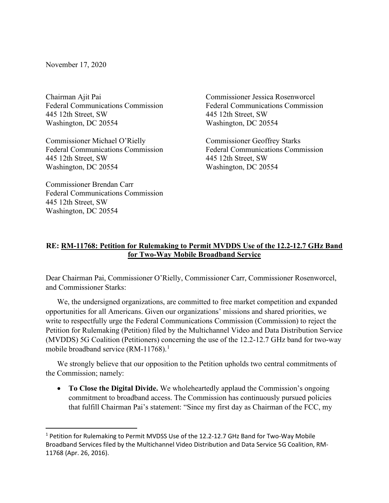November 17, 2020

Chairman Ajit Pai Federal Communications Commission 445 12th Street, SW Washington, DC 20554

Commissioner Michael O'Rielly Federal Communications Commission 445 12th Street, SW Washington, DC 20554

Commissioner Brendan Carr Federal Communications Commission 445 12th Street, SW Washington, DC 20554

Commissioner Jessica Rosenworcel Federal Communications Commission 445 12th Street, SW Washington, DC 20554

Commissioner Geoffrey Starks Federal Communications Commission 445 12th Street, SW Washington, DC 20554

## **RE: RM-11768: Petition for Rulemaking to Permit MVDDS Use of the 12.2-12.7 GHz Band for Two-Way Mobile Broadband Service**

Dear Chairman Pai, Commissioner O'Rielly, Commissioner Carr, Commissioner Rosenworcel, and Commissioner Starks:

We, the undersigned organizations, are committed to free market competition and expanded opportunities for all Americans. Given our organizations' missions and shared priorities, we write to respectfully urge the Federal Communications Commission (Commission) to reject the Petition for Rulemaking (Petition) filed by the Multichannel Video and Data Distribution Service (MVDDS) 5G Coalition (Petitioners) concerning the use of the 12.2-12.7 GHz band for two-way mobile broadband service  $(RM-11768).$  $(RM-11768).$  $(RM-11768).$ <sup>1</sup>

We strongly believe that our opposition to the Petition upholds two central commitments of the Commission; namely:

• **To Close the Digital Divide.** We wholeheartedly applaud the Commission's ongoing commitment to broadband access. The Commission has continuously pursued policies that fulfill Chairman Pai's statement: "Since my first day as Chairman of the FCC, my

<span id="page-0-0"></span><sup>1</sup> Petition for Rulemaking to Permit MVDSS Use of the 12.2-12.7 GHz Band for Two-Way Mobile Broadband Services filed by the Multichannel Video Distribution and Data Service 5G Coalition, RM-11768 (Apr. 26, 2016).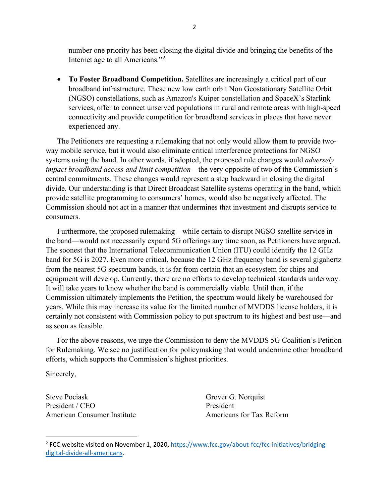number one priority has been closing the digital divide and bringing the benefits of the Internet age to all Americans."[2](#page-1-0)

• **To Foster Broadband Competition.** Satellites are increasingly a critical part of our broadband infrastructure. These new low earth orbit Non Geostationary Satellite Orbit (NGSO) constellations, such as Amazon's Kuiper constellation and SpaceX's Starlink services, offer to connect unserved populations in rural and remote areas with high-speed connectivity and provide competition for broadband services in places that have never experienced any.

The Petitioners are requesting a rulemaking that not only would allow them to provide twoway mobile service, but it would also eliminate critical interference protections for NGSO systems using the band. In other words, if adopted, the proposed rule changes would *adversely impact broadband access and limit competition*—the very opposite of two of the Commission's central commitments. These changes would represent a step backward in closing the digital divide. Our understanding is that Direct Broadcast Satellite systems operating in the band, which provide satellite programming to consumers' homes, would also be negatively affected. The Commission should not act in a manner that undermines that investment and disrupts service to consumers.

Furthermore, the proposed rulemaking—while certain to disrupt NGSO satellite service in the band—would not necessarily expand 5G offerings any time soon, as Petitioners have argued. The soonest that the International Telecommunication Union (ITU) could identify the 12 GHz band for 5G is 2027. Even more critical, because the 12 GHz frequency band is several gigahertz from the nearest 5G spectrum bands, it is far from certain that an ecosystem for chips and equipment will develop. Currently, there are no efforts to develop technical standards underway. It will take years to know whether the band is commercially viable. Until then, if the Commission ultimately implements the Petition, the spectrum would likely be warehoused for years. While this may increase its value for the limited number of MVDDS license holders, it is certainly not consistent with Commission policy to put spectrum to its highest and best use—and as soon as feasible.

For the above reasons, we urge the Commission to deny the MVDDS 5G Coalition's Petition for Rulemaking. We see no justification for policymaking that would undermine other broadband efforts, which supports the Commission's highest priorities.

Sincerely,

Steve Pociask President / CEO American Consumer Institute

Grover G. Norquist President Americans for Tax Reform

<span id="page-1-0"></span><sup>&</sup>lt;sup>2</sup> FCC website visited on November 1, 2020[, https://www.fcc.gov/about-fcc/fcc-initiatives/bridging](https://www.fcc.gov/about-fcc/fcc-initiatives/bridging-digital-divide-all-americans)[digital-divide-all-americans.](https://www.fcc.gov/about-fcc/fcc-initiatives/bridging-digital-divide-all-americans)